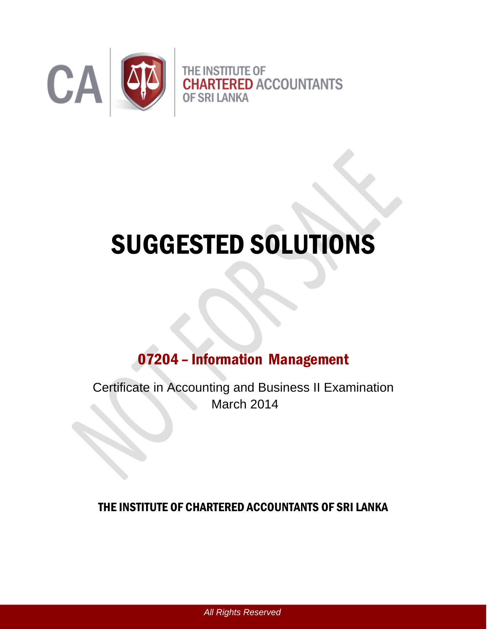

# SUGGESTED SOLUTIONS

# 07204 – Information Management

Certificate in Accounting and Business II Examination March 2014

## THE INSTITUTE OF CHARTERED ACCOUNTANTS OF SRI LANKA

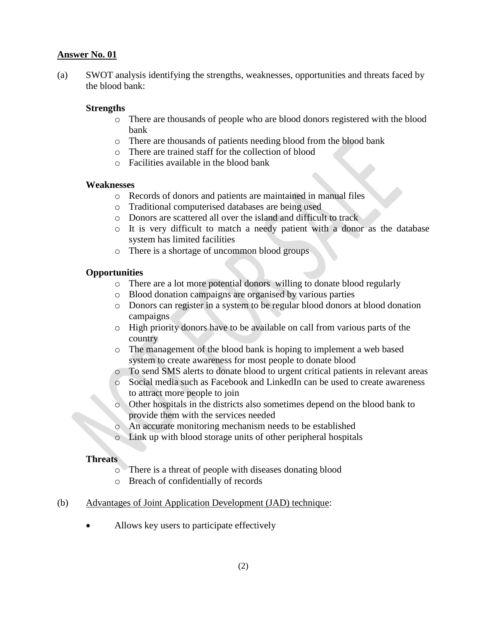(a) SWOT analysis identifying the strengths, weaknesses, opportunities and threats faced by the blood bank:

#### **Strengths**

- o There are thousands of people who are blood donors registered with the blood bank
- o There are thousands of patients needing blood from the blood bank
- o There are trained staff for the collection of blood
- o Facilities available in the blood bank

#### **Weaknesses**

- o Records of donors and patients are maintained in manual files
- o Traditional computerised databases are being used
- o Donors are scattered all over the island and difficult to track
- o It is very difficult to match a needy patient with a donor as the database system has limited facilities
- o There is a shortage of uncommon blood groups

#### **Opportunities**

- o There are a lot more potential donors willing to donate blood regularly
- o Blood donation campaigns are organised by various parties
- o Donors can register in a system to be regular blood donors at blood donation campaigns
- o High priority donors have to be available on call from various parts of the country
- o The management of the blood bank is hoping to implement a web based system to create awareness for most people to donate blood
- o To send SMS alerts to donate blood to urgent critical patients in relevant areas
- o Social media such as Facebook and LinkedIn can be used to create awareness to attract more people to join
- Other hospitals in the districts also sometimes depend on the blood bank to provide them with the services needed
- o An accurate monitoring mechanism needs to be established
- o Link up with blood storage units of other peripheral hospitals

#### **Threats**

- o There is a threat of people with diseases donating blood
- o Breach of confidentially of records

#### (b) Advantages of Joint Application Development (JAD) technique:

• Allows key users to participate effectively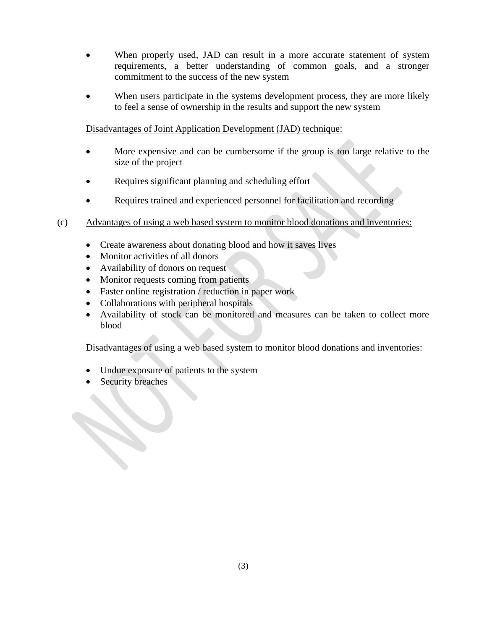- When properly used, JAD can result in a more accurate statement of system requirements, a better understanding of common goals, and a stronger commitment to the success of the new system
- When users participate in the systems development process, they are more likely to feel a sense of ownership in the results and support the new system

Disadvantages of Joint Application Development (JAD) technique:

- More expensive and can be cumbersome if the group is too large relative to the size of the project
- Requires significant planning and scheduling effort
- Requires trained and experienced personnel for facilitation and recording
- (c) Advantages of using a web based system to monitor blood donations and inventories:
	- Create awareness about donating blood and how it saves lives
	- Monitor activities of all donors
	- Availability of donors on request
	- Monitor requests coming from patients
	- Faster online registration / reduction in paper work
	- Collaborations with peripheral hospitals
	- Availability of stock can be monitored and measures can be taken to collect more blood

Disadvantages of using a web based system to monitor blood donations and inventories:

- Undue exposure of patients to the system
- Security breaches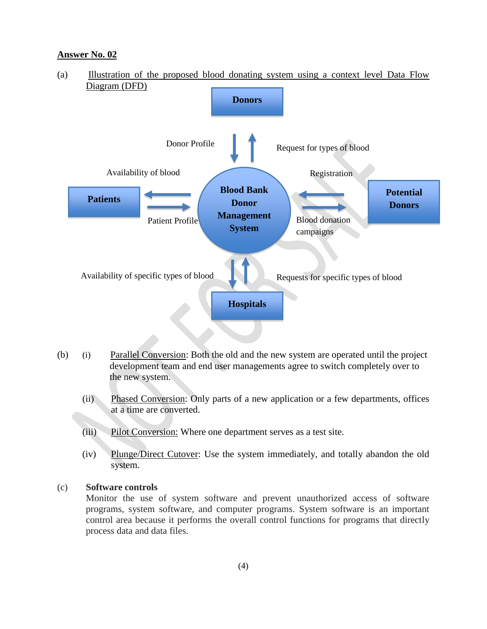

- (b) (i) Parallel Conversion: Both the old and the new system are operated until the project development team and end user managements agree to switch completely over to the new system.
	- (ii) Phased Conversion: Only parts of a new application or a few departments, offices at a time are converted.
	- (iii) Pilot Conversion: Where one department serves as a test site.
	- (iv) Plunge/Direct Cutover: Use the system immediately, and totally abandon the old system.

#### (c) **Software controls**

Monitor the use of system software and prevent unauthorized access of software programs, system software, and computer programs. System software is an important control area because it performs the overall control functions for programs that directly process data and data files.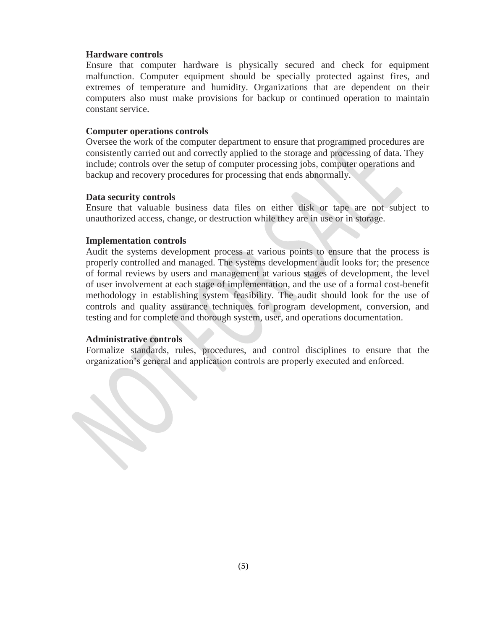#### **Hardware controls**

Ensure that computer hardware is physically secured and check for equipment malfunction. Computer equipment should be specially protected against fires, and extremes of temperature and humidity. Organizations that are dependent on their computers also must make provisions for backup or continued operation to maintain constant service.

#### **Computer operations controls**

Oversee the work of the computer department to ensure that programmed procedures are consistently carried out and correctly applied to the storage and processing of data. They include; controls over the setup of computer processing jobs, computer operations and backup and recovery procedures for processing that ends abnormally.

#### **Data security controls**

Ensure that valuable business data files on either disk or tape are not subject to unauthorized access, change, or destruction while they are in use or in storage.

#### **Implementation controls**

Audit the systems development process at various points to ensure that the process is properly controlled and managed. The systems development audit looks for; the presence of formal reviews by users and management at various stages of development, the level of user involvement at each stage of implementation, and the use of a formal cost-benefit methodology in establishing system feasibility. The audit should look for the use of controls and quality assurance techniques for program development, conversion, and testing and for complete and thorough system, user, and operations documentation.

#### **Administrative controls**

Formalize standards, rules, procedures, and control disciplines to ensure that the organization's general and application controls are properly executed and enforced.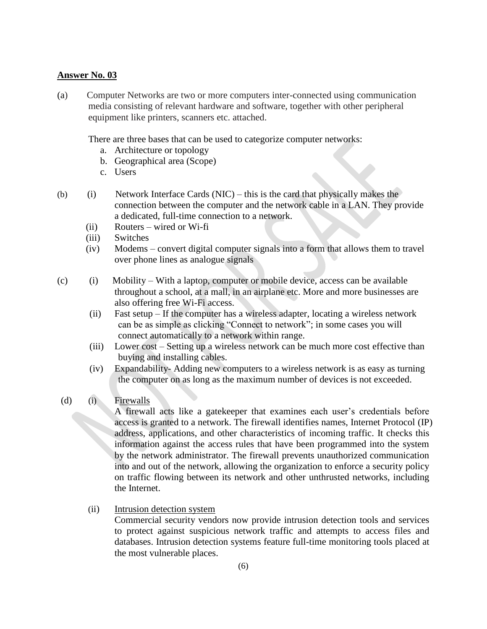(a) Computer Networks are two or more computers inter-connected using communication media consisting of relevant hardware and software, together with other peripheral equipment like printers, scanners etc. attached.

There are three bases that can be used to categorize computer networks:

- a. Architecture or topology
- b. Geographical area (Scope)
- c. Users
- (b) (i) Network Interface Cards (NIC) this is the card that physically makes the connection between the computer and the network cable in a LAN. They provide a dedicated, full-time connection to a network.
	- (ii) Routers wired or Wi-fi
	- (iii) Switches
	- (iv) Modems convert digital computer signals into a form that allows them to travel over phone lines as analogue signals
- (c) (i) Mobility With a laptop, computer or mobile device, access can be available throughout a school, at a mall, in an airplane etc. More and more businesses are also offering free Wi-Fi access.
	- (ii) Fast setup If the computer has a wireless adapter, locating a wireless network can be as simple as clicking "Connect to network"; in some cases you will connect automatically to a network within range.
	- (iii) Lower cost Setting up a wireless network can be much more cost effective than buying and installing cables.
	- (iv) Expandability- Adding new computers to a wireless network is as easy as turning the computer on as long as the maximum number of devices is not exceeded.
- (d) (i) Firewalls

A firewall acts like a gatekeeper that examines each user's credentials before access is granted to a network. The firewall identifies names, Internet Protocol (IP) address, applications, and other characteristics of incoming traffic. It checks this information against the access rules that have been programmed into the system by the network administrator. The firewall prevents unauthorized communication into and out of the network, allowing the organization to enforce a security policy on traffic flowing between its network and other unthrusted networks, including the Internet.

(ii) Intrusion detection system

Commercial security vendors now provide intrusion detection tools and services to protect against suspicious network traffic and attempts to access files and databases. Intrusion detection systems feature full-time monitoring tools placed at the most vulnerable places.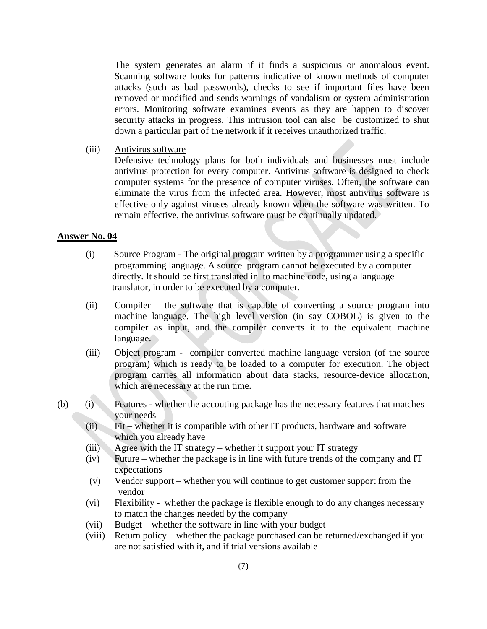The system generates an alarm if it finds a suspicious or anomalous event. Scanning software looks for patterns indicative of known methods of computer attacks (such as bad passwords), checks to see if important files have been removed or modified and sends warnings of vandalism or system administration errors. Monitoring software examines events as they are happen to discover security attacks in progress. This intrusion tool can also be customized to shut down a particular part of the network if it receives unauthorized traffic.

(iii) Antivirus software

Defensive technology plans for both individuals and businesses must include antivirus protection for every computer. Antivirus software is designed to check computer systems for the presence of computer viruses. Often, the software can eliminate the virus from the infected area. However, most antivirus software is effective only against viruses already known when the software was written. To remain effective, the antivirus software must be continually updated.

#### **Answer No. 04**

- (i) Source Program The original program written by a programmer using a specific programming language. A source program cannot be executed by a computer directly. It should be first translated in to machine code, using a language translator, in order to be executed by a computer.
- (ii) Compiler the software that is capable of converting a source program into machine language. The high level version (in say COBOL) is given to the compiler as input, and the compiler converts it to the equivalent machine language.
- (iii) Object program compiler converted machine language version (of the source program) which is ready to be loaded to a computer for execution. The object program carries all information about data stacks, resource-device allocation, which are necessary at the run time.
- (b) (i) Features whether the accouting package has the necessary features that matches your needs
	- (ii) Fit whether it is compatible with other IT products, hardware and software which you already have
	- $(iii)$  Agree with the IT strategy whether it support your IT strategy
	- (iv) Future whether the package is in line with future trends of the company and IT expectations
	- (v) Vendor support whether you will continue to get customer support from the vendor
	- (vi) Flexibility whether the package is flexible enough to do any changes necessary to match the changes needed by the company
	- (vii) Budget whether the software in line with your budget
	- (viii) Return policy whether the package purchased can be returned/exchanged if you are not satisfied with it, and if trial versions available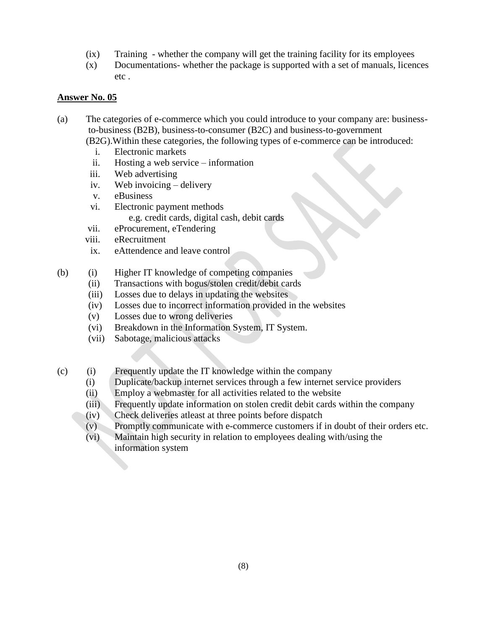- (ix) Training whether the company will get the training facility for its employees
- (x) Documentations- whether the package is supported with a set of manuals, licences etc .

- (a) The categories of e-commerce which you could introduce to your company are: businessto-business (B2B), business-to-consumer (B2C) and business-to-government
	- (B2G).Within these categories, the following types of e-commerce can be introduced:
		- i. Electronic markets
		- ii. Hosting a web service information
	- iii. Web advertising
	- iv. Web invoicing delivery
	- v. eBusiness
	- vi. Electronic payment methods
		- e.g. credit cards, digital cash, debit cards
	- vii. eProcurement, eTendering
	- viii. eRecruitment
	- ix. eAttendence and leave control
- (b) (i) Higher IT knowledge of competing companies
	- (ii) Transactions with bogus/stolen credit/debit cards
	- (iii) Losses due to delays in updating the websites
	- (iv) Losses due to incorrect information provided in the websites
	- (v) Losses due to wrong deliveries
	- (vi) Breakdown in the Information System, IT System.
	- (vii) Sabotage, malicious attacks
- (c) (i) Frequently update the IT knowledge within the company
	- (i) Duplicate/backup internet services through a few internet service providers
	- (ii) Employ a webmaster for all activities related to the website
	- (iii) Frequently update information on stolen credit debit cards within the company
	- (iv) Check deliveries atleast at three points before dispatch
	- (v) Promptly communicate with e-commerce customers if in doubt of their orders etc.
	- (vi) Maintain high security in relation to employees dealing with/using the information system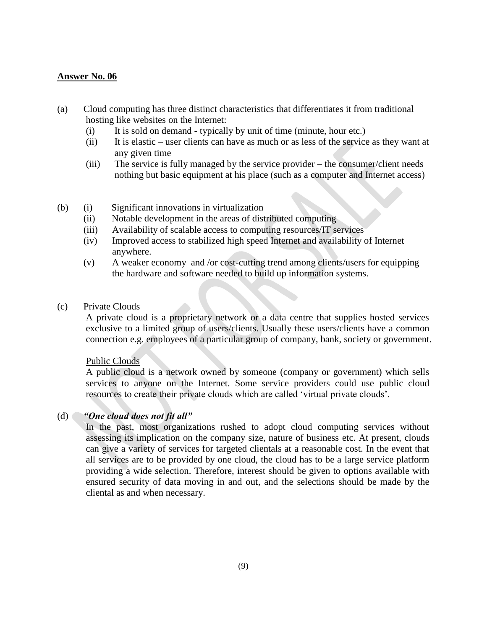- (a) Cloud computing has three distinct characteristics that differentiates it from traditional hosting like websites on the Internet:
	- (i) It is sold on demand typically by unit of time (minute, hour etc.)
	- (ii) It is elastic user clients can have as much or as less of the service as they want at any given time
	- (iii) The service is fully managed by the service provider the consumer/client needs nothing but basic equipment at his place (such as a computer and Internet access)
- (b) (i) Significant innovations in virtualization
	- (ii) Notable development in the areas of distributed computing
	- (iii) Availability of scalable access to computing resources/IT services
	- (iv) Improved access to stabilized high speed Internet and availability of Internet anywhere.
	- (v) A weaker economy and /or cost-cutting trend among clients/users for equipping the hardware and software needed to build up information systems.
- (c) Private Clouds

A private cloud is a proprietary network or a data centre that supplies hosted services exclusive to a limited group of users/clients. Usually these users/clients have a common connection e.g. employees of a particular group of company, bank, society or government.

#### Public Clouds

 A public cloud is a network owned by someone (company or government) which sells services to anyone on the Internet. Some service providers could use public cloud resources to create their private clouds which are called 'virtual private clouds'.

#### (d) *"One cloud does not fit all"*

In the past, most organizations rushed to adopt cloud computing services without assessing its implication on the company size, nature of business etc. At present, clouds can give a variety of services for targeted clientals at a reasonable cost. In the event that all services are to be provided by one cloud, the cloud has to be a large service platform providing a wide selection. Therefore, interest should be given to options available with ensured security of data moving in and out, and the selections should be made by the cliental as and when necessary.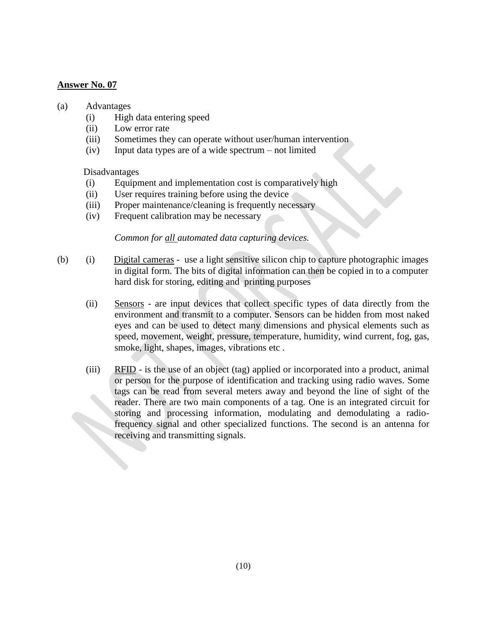#### (a) Advantages

- (i) High data entering speed
- (ii) Low error rate
- (iii) Sometimes they can operate without user/human intervention
- (iv) Input data types are of a wide spectrum not limited

Disadvantages

- (i) Equipment and implementation cost is comparatively high
- (ii) User requires training before using the device
- (iii) Proper maintenance/cleaning is frequently necessary
- (iv) Frequent calibration may be necessary

*Common for all automated data capturing devices.*

- (b) (i) Digital cameras use a light sensitive silicon chip to capture photographic images in digital form. The bits of digital information can then be copied in to a computer hard disk for storing, editing and printing purposes
	- (ii) Sensors are input devices that collect specific types of data directly from the environment and transmit to a computer. Sensors can be hidden from most naked eyes and can be used to detect many dimensions and physical elements such as speed, movement, weight, pressure, temperature, humidity, wind current, fog, gas, smoke, light, shapes, images, vibrations etc .
	- (iii) RFID is the use of an object (tag) applied or incorporated into a product, animal or person for the purpose of identification and tracking using radio waves. Some tags can be read from several meters away and beyond the line of sight of the reader. There are two main components of a tag. One is an integrated circuit for storing and processing information, modulating and demodulating a radiofrequency signal and other specialized functions. The second is an antenna for receiving and transmitting signals.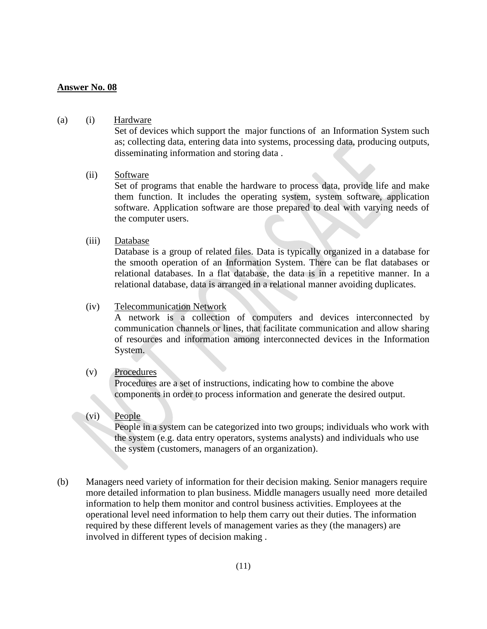#### (a) (i) Hardware

Set of devices which support the major functions of an Information System such as; collecting data, entering data into systems, processing data, producing outputs, disseminating information and storing data .

#### (ii) Software

Set of programs that enable the hardware to process data, provide life and make them function. It includes the operating system, system software, application software. Application software are those prepared to deal with varying needs of the computer users.

#### (iii) Database

Database is a group of related files. Data is typically organized in a database for the smooth operation of an Information System. There can be flat databases or relational databases. In a flat database, the data is in a repetitive manner. In a relational database, data is arranged in a relational manner avoiding duplicates.

#### (iv) Telecommunication Network

A network is a collection of computers and devices interconnected by communication channels or lines, that facilitate communication and allow sharing of resources and information among interconnected devices in the Information System.

#### (v) Procedures

Procedures are a set of instructions, indicating how to combine the above components in order to process information and generate the desired output.

#### (vi) People

People in a system can be categorized into two groups; individuals who work with the system (e.g. data entry operators, systems analysts) and individuals who use the system (customers, managers of an organization).

(b) Managers need variety of information for their decision making. Senior managers require more detailed information to plan business. Middle managers usually need more detailed information to help them monitor and control business activities. Employees at the operational level need information to help them carry out their duties. The information required by these different levels of management varies as they (the managers) are involved in different types of decision making .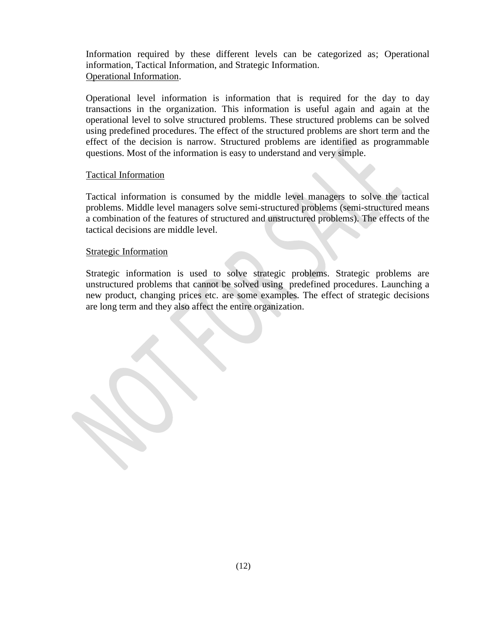Information required by these different levels can be categorized as; Operational information, Tactical Information, and Strategic Information. Operational Information.

Operational level information is information that is required for the day to day transactions in the organization. This information is useful again and again at the operational level to solve structured problems. These structured problems can be solved using predefined procedures. The effect of the structured problems are short term and the effect of the decision is narrow. Structured problems are identified as programmable questions. Most of the information is easy to understand and very simple.

#### Tactical Information

Tactical information is consumed by the middle level managers to solve the tactical problems. Middle level managers solve semi-structured problems (semi-structured means a combination of the features of structured and unstructured problems). The effects of the tactical decisions are middle level.

#### Strategic Information

Strategic information is used to solve strategic problems. Strategic problems are unstructured problems that cannot be solved using predefined procedures. Launching a new product, changing prices etc. are some examples. The effect of strategic decisions are long term and they also affect the entire organization.